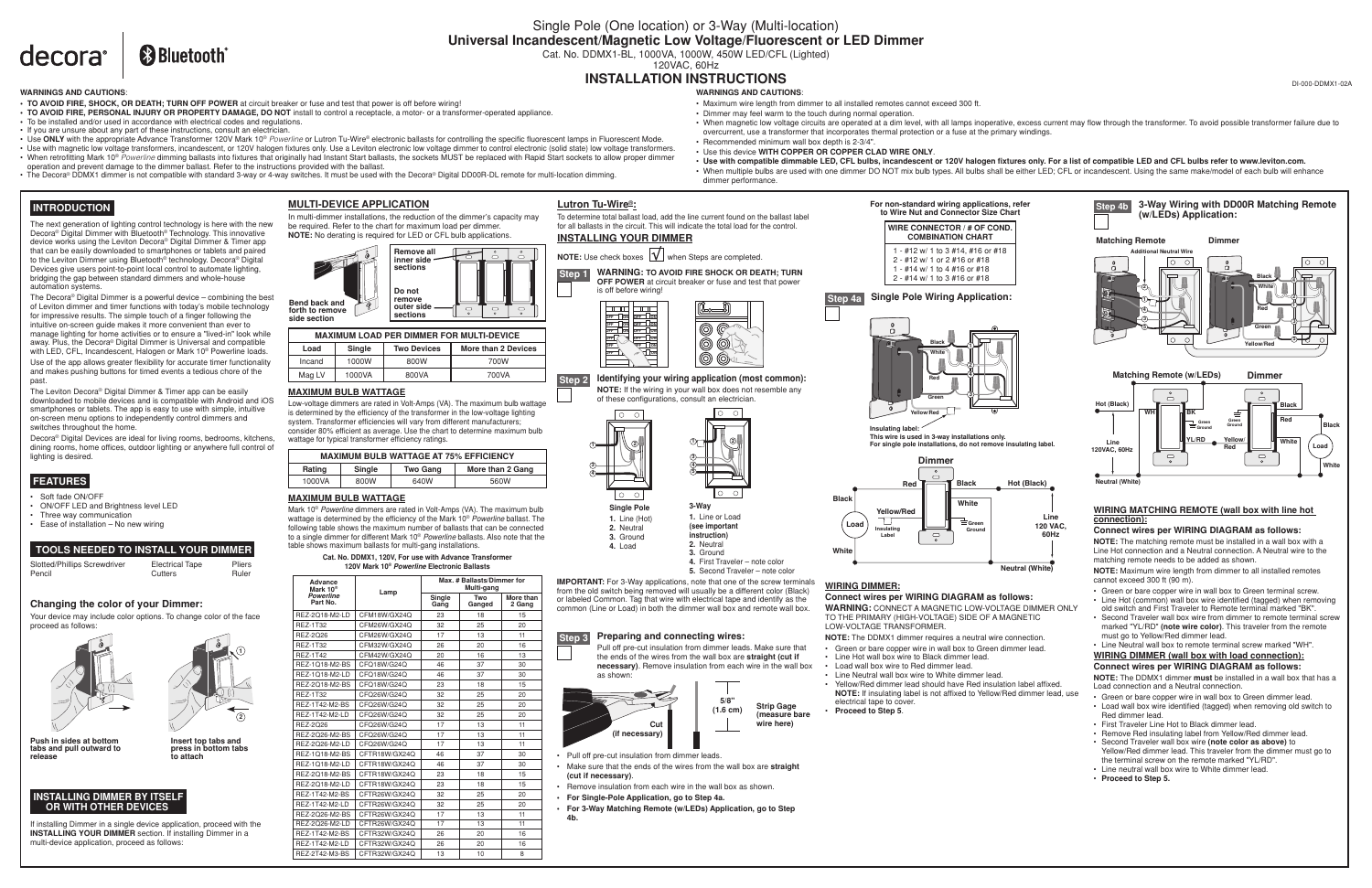# **&Bluetooth** decora<sup>®</sup>

# Single Pole (One location) or 3-Way (Multi-location) **Universal Incandescent/Magnetic Low Voltage/Fluorescent or LED Dimmer** Cat. No. DDMX1-BL, 1000VA, 1000W, 450W LED/CFL (Lighted)

120VAC, 60Hz

# **INSTALLATION INSTRUCTIONS**

**IMPORTANT:** For 3-Way applications, note that one of the screw terminals from the old switch being removed will usually be a different color (Black) or labeled Common. Tag that wire with electrical tape and identify as the common (Line or Load) in both the dimmer wall box and remote wall box.

| <b>WIRE CONNECTOR / # OF CON<br/>COMBINATION CHART</b>            |
|-------------------------------------------------------------------|
| 1 - #12 w/ 1 to 3 #14, #16 or #18<br>2 - #12 w/ 1 or 2 #16 or #18 |
| 1 - #14 w/ 1 to 4 #16 or #18<br>2 - #14 w/ 1 to 3 #16 or #18      |



- 
- 
- Make sure that the ends of the wires from the wall box are **straight (cut if necessary)**.
- Remove insulation from each wire in the wall box as shown.
- 
- **For 3-Way Matching Remote (w/LEDs) Application, go to Step 4b.**







## **TOOLS NEEDED TO INSTALL YOUR DIMMER**

| Slotted/Phillips Screwdriver | <b>Electrical Tape</b> | Pliers |
|------------------------------|------------------------|--------|
| Pencil                       | Cutters                | Ruler  |

 $\overline{\circ}$ lo ol **2 1**

lo o

## **MULTI-DEVICE APPLICATION**

In multi-dimmer installations, the reduction of the dimmer's capacity may be required. Refer to the chart for maximum load per dimmer. **NOTE:** No derating is required for LED or CFL bulb applications.

If installing Dimmer in a single device application, proceed with the **INSTALLING YOUR DIMMER** section. If installing Dimmer in a multi-device application, proceed as follows:

## **INSTALLING DIMMER BY ITSELF OR WITH OTHER DEVICES**

## **Changing the color of your Dimmer:**

Your device may include color options. To change color of the face proceed as follows:





**Insert top tabs and press in bottom tabs to attach**

**Push in sides at bottom tabs and pull outward to release**

**INSTALLING YOUR DIMMER**



To determine total ballast load, add the line current found on the ballast label for all ballasts in the circuit. This will indicate the total load for the control.

# **Step 2 Identifying your wiring application (most common):**

**NOTE:** If the wiring in your wall box does not resemble any of these configurations, consult an electrician.

**4**

**4.** Load

**3.** Ground **1.** Line or Load





**(see important instruction) 2.** Neutral

**4.** First Traveler – note color

lo o

**5.** Second Traveler – note color





Pull off pre-cut insulation from dimmer leads. Make sure that the ends of the wires from the wall box are **straight (cut if necessary)**. Remove insulation from each wire in the wall box





The Leviton Decora® Digital Dimmer & Timer app can be easily downloaded to mobile devices and is compatible with Android and iOS smartphones or tablets. The app is easy to use with simple, intuitive on-screen menu options to independently control dimmers and switches throughout the home.

- Soft fade ON/OFF
- ON/OFF LED and Brightness level LED
- Three way communication • Ease of installation – No new wiring

## **MAXIMUM BULB WATTAGE**

Low-voltage dimmers are rated in Volt-Amps (VA). The maximum bulb wattage is determined by the efficiency of the transformer in the low-voltage lighting system. Transformer efficiencies will vary from different manufacturers; consider 80% efficient as average. Use the chart to determine maximum bulb wattage for typical transformer efficiency ratings.

## **MAXIMUM BULB WATTAGE**

Mark 10® *Powerline* dimmers are rated in Volt-Amps (VA). The maximum bulb wattage is determined by the efficiency of the Mark 10® *Powerline* ballast. The following table shows the maximum number of ballasts that can be connected to a single dimmer for different Mark 10® *Powerline* ballasts. Also note that the table shows maximum ballasts for multi-gang installations.

**Lutron Tu-Wire®:**





| Load   | <b>Single</b> | <b>Two Devices</b> | More than 2 Devices |
|--------|---------------|--------------------|---------------------|
| Incand | 1000W         | 800W               | 700W                |
| Mag LV | 1000VA        | 800VA              | 700VA               |

| <b>MAXIMUM BULB WATTAGE AT 75% EFFICIENCY</b>           |      |      |      |  |
|---------------------------------------------------------|------|------|------|--|
| Single<br>More than 2 Gang<br><b>Two Gang</b><br>Rating |      |      |      |  |
| 1000VA                                                  | 800W | 640W | 560W |  |
|                                                         |      |      |      |  |

 **INTRODUCTION**

The next generation of lighting control technology is here with the new Decora® Digital Dimmer with Bluetooth® Technology. This innovative device works using the Leviton Decora® Digital Dimmer & Timer app that can be easily downloaded to smartphones or tablets and paired to the Leviton Dimmer using Bluetooth® technology. Decora® Digital Devices give users point-to-point local control to automate lighting, bridging the gap between standard dimmers and whole-house automation systems.



Decora® Digital Devices are ideal for living rooms, bedrooms, kitchens, dining rooms, home offices, outdoor lighting or anywhere full control of lighting is desired.





# **FEATURES**

LOW-VOLTAGE TRANSFORMER.

- 
- 
- 
- 
- 
- 

#### **Cat. No. DDMX1, 120V, For use with Advance Transformer 120V Mark 10®** *Powerline* **Electronic Ballasts**

| Advance<br>Mark 10 <sup>®</sup> | Lamp          |                | Max. # Ballasts/Dimmer for<br>Multi-gang |                     |  |
|---------------------------------|---------------|----------------|------------------------------------------|---------------------|--|
| <b>Powerline</b><br>Part No.    |               | Single<br>Gang | Two<br>Ganged                            | More than<br>2 Gang |  |
| REZ-2018-M2-LD                  | CFM18W/GX24O  | 23             | 18                                       | 15                  |  |
| <b>REZ-1T32</b>                 | CFM26W/GX24O  | 32             | 25                                       | 20                  |  |
| REZ-2026                        | CFM26W/GX24Q  | 17             | 13                                       | 11                  |  |
| <b>REZ-1T32</b>                 | CFM32W/GX24Q  | 26             | 20                                       | 16                  |  |
| <b>REZ-1T42</b>                 | CFM42W/GX24Q  | 20             | 16                                       | 13                  |  |
| REZ-1Q18-M2-BS                  | CFQ18W/G24Q   | 46             | 37                                       | 30                  |  |
| REZ-1018-M2-LD                  | CFQ18W/G24Q   | 46             | 37                                       | 30                  |  |
| REZ-2Q18-M2-BS                  | CFO18W/G24O   | 23             | 18                                       | 15                  |  |
| <b>REZ-1T32</b>                 | CFQ26W/G24Q   | 32             | 25                                       | 20                  |  |
| <b>REZ-1T42-M2-BS</b>           | CFO26W/G24O   | 32             | 25                                       | 20                  |  |
| REZ-1T42-M2-LD                  | CFO26W/G24O   | 32             | 25                                       | 20                  |  |
| REZ-2026                        | CFQ26W/G24Q   | 17             | 13                                       | 11                  |  |
| REZ-2026-M2-BS                  | CFO26W/G24O   | 17             | 13                                       | 11                  |  |
| REZ-2Q26-M2-LD                  | CFO26W/G24O   | 17             | 13                                       | 11                  |  |
| REZ-1Q18-M2-BS                  | CFTR18W/GX24O | 46             | 37                                       | 30                  |  |
| REZ-1Q18-M2-LD                  | CFTR18W/GX24Q | 46             | 37                                       | 30                  |  |
| REZ-2018-M2-BS                  | CFTR18W/GX24O | 23             | 18                                       | 15                  |  |
| REZ-2Q18-M2-LD                  | CFTR18W/GX24Q | 23             | 18                                       | 15                  |  |
| <b>REZ-1T42-M2-BS</b>           | CFTR26W/GX24Q | 32             | 25                                       | 20                  |  |
| REZ-1T42-M2-LD                  | CFTR26W/GX24O | 32             | 25                                       | 20                  |  |
| REZ-2Q26-M2-BS                  | CFTR26W/GX24Q | 17             | 13                                       | 11                  |  |
| REZ-2026-M2-LD                  | CFTR26W/GX24Q | 17             | 13                                       | 11                  |  |
| <b>REZ-1T42-M2-BS</b>           | CFTR32W/GX24O | 26             | 20                                       | 16                  |  |
| RF7-1T42-M2-ID                  | CFTR32W/GX24O | 26             | 20                                       | 16                  |  |
| REZ-2T42-M3-BS                  | CFTR32W/GX24O | 13             | 10                                       | 8                   |  |

**WARNINGS AND CAUTIONS**:

**• TO AVOID FIRE, SHOCK, OR DEATH; TURN OFF POWER** at circuit breaker or fuse and test that power is off before wiring!

**• TO AVOID FIRE, PERSONAL INJURY OR PROPERTY DAMAGE, DO NOT** install to control a receptacle, a motor- or a transformer-operated appliance.

The Decora<sup>®</sup> Digital Dimmer is a powerful device – combining the best of Leviton dimmer and timer functions with today's mobile technology for impressive results. The simple touch of a finger following the intuitive on-screen guide makes it more convenient than ever to manage lighting for home activities or to ensure a "lived-in" look while away. Plus, the Decora® Digital Dimmer is Universal and compatible with LED, CFL, Incandescent, Halogen or Mark 10® Powerline loads. Use of the app allows greater flexibility for accurate timer functionality and makes pushing buttons for timed events a tedious chore of the nast

**•** To be installed and/or used in accordance with electrical codes and regulations. • If you are unsure about any part of these instructions, consult an electrician.

• Use **ONLY** with the appropriate Advance Transformer 120V Mark 10® *Powerline* or Lutron Tu-Wire® electronic ballasts for controlling the specific fluorescent lamps in Fluorescent Mode. • Use with magnetic low voltage transformers, incandescent, or 120V halogen fixtures only. Use a Leviton electronic low voltage dimmer to control electronic (solid state) low voltage transformers. • When retrofitting Mark 10® *Powerline* dimming ballasts into fixtures that originally had Instant Start ballasts, the sockets MUST be replaced with Rapid Start sockets to allow proper dimmer

• The Decora® DDMX1 dimmer is not compatible with standard 3-way or 4-way switches. It must be used with the Decora® Digital DD00R-DL remote for multi-location dimming.

operation and prevent damage to the dimmer ballast. Refer to the instructions provided with the ballast.

## **WARNINGS AND CAUTIONS**:

• When magnetic low voltage circuits are operated at a dim level, with all lamps inoperative, excess current may flow through the transformer. To avoid possible transformer failure due to

- Maximum wire length from dimmer to all installed remotes cannot exceed 300 ft.
- Dimmer may feel warm to the touch during normal operation.
- overcurrent, use a transformer that incorporates thermal protection or a fuse at the primary windings.
- Recommended minimum wall box depth is 2-3/4".
- Use this device **WITH COPPER OR COPPER CLAD WIRE ONLY**.
- 
- dimmer performance.

• **Use with compatible dimmable LED, CFL bulbs, incandescent or 120V halogen fixtures only. For a list of compatible LED and CFL bulbs refer to www.leviton.com.** • When multiple bulbs are used with one dimmer DO NOT mix bulb types. All bulbs shall be either LED; CFL or incandescent. Using the same make/model of each bulb will enhance